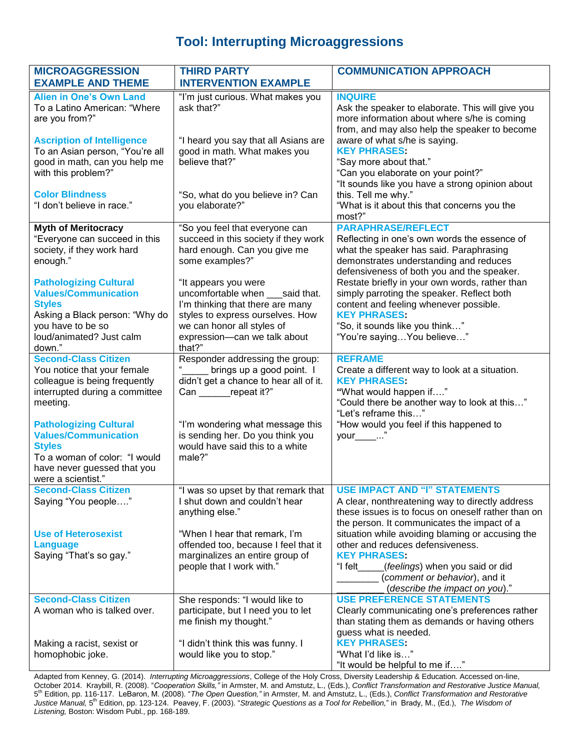## **Tool: Interrupting Microaggressions**

| <b>MICROAGGRESSION</b><br><b>EXAMPLE AND THEME</b>                                                                                                                  | <b>THIRD PARTY</b><br><b>INTERVENTION EXAMPLE</b>                                                                                                                                           | <b>COMMUNICATION APPROACH</b>                                                                                                                                                                                                 |
|---------------------------------------------------------------------------------------------------------------------------------------------------------------------|---------------------------------------------------------------------------------------------------------------------------------------------------------------------------------------------|-------------------------------------------------------------------------------------------------------------------------------------------------------------------------------------------------------------------------------|
| <b>Alien in One's Own Land</b><br>To a Latino American: "Where<br>are you from?"                                                                                    | "I'm just curious. What makes you<br>ask that?"                                                                                                                                             | <b>INQUIRE</b><br>Ask the speaker to elaborate. This will give you<br>more information about where s/he is coming                                                                                                             |
| <b>Ascription of Intelligence</b><br>To an Asian person, "You're all<br>good in math, can you help me<br>with this problem?"                                        | "I heard you say that all Asians are<br>good in math. What makes you<br>believe that?"                                                                                                      | from, and may also help the speaker to become<br>aware of what s/he is saying.<br><b>KEY PHRASES:</b><br>"Say more about that."<br>"Can you elaborate on your point?"<br>"It sounds like you have a strong opinion about      |
| <b>Color Blindness</b><br>"I don't believe in race."                                                                                                                | "So, what do you believe in? Can<br>you elaborate?"                                                                                                                                         | this. Tell me why."<br>"What is it about this that concerns you the<br>most?"                                                                                                                                                 |
| <b>Myth of Meritocracy</b><br>"Everyone can succeed in this<br>society, if they work hard<br>enough."                                                               | "So you feel that everyone can<br>succeed in this society if they work<br>hard enough. Can you give me<br>some examples?"                                                                   | <b>PARAPHRASE/REFLECT</b><br>Reflecting in one's own words the essence of<br>what the speaker has said. Paraphrasing<br>demonstrates understanding and reduces<br>defensiveness of both you and the speaker.                  |
| <b>Pathologizing Cultural</b><br><b>Values/Communication</b><br><b>Styles</b><br>Asking a Black person: "Why do<br>you have to be so<br>loud/animated? Just calm    | "It appears you were<br>uncomfortable when said that.<br>I'm thinking that there are many<br>styles to express ourselves. How<br>we can honor all styles of<br>expression-can we talk about | Restate briefly in your own words, rather than<br>simply parroting the speaker. Reflect both<br>content and feeling whenever possible.<br><b>KEY PHRASES:</b><br>"So, it sounds like you think"<br>"You're sayingYou believe" |
| down."<br><b>Second-Class Citizen</b><br>You notice that your female<br>colleague is being frequently<br>interrupted during a committee<br>meeting.                 | that?"<br>Responder addressing the group:<br>brings up a good point. I<br>didn't get a chance to hear all of it.<br>Can repeat it?"                                                         | <b>REFRAME</b><br>Create a different way to look at a situation.<br><b>KEY PHRASES:</b><br>"What would happen if"<br>"Could there be another way to look at this"<br>"Let's reframe this"                                     |
| <b>Pathologizing Cultural</b><br><b>Values/Communication</b><br><b>Styles</b><br>To a woman of color: "I would<br>have never guessed that you<br>were a scientist." | "I'm wondering what message this<br>is sending her. Do you think you<br>would have said this to a white<br>male?"                                                                           | "How would you feel if this happened to<br>your___ "                                                                                                                                                                          |
| <b>Second-Class Citizen</b><br>Saying "You people"                                                                                                                  | "I was so upset by that remark that<br>I shut down and couldn't hear<br>anything else."                                                                                                     | USE IMPACT AND "I" STATEMENTS<br>A clear, nonthreatening way to directly address<br>these issues is to focus on oneself rather than on<br>the person. It communicates the impact of a                                         |
| <b>Use of Heterosexist</b><br><b>Language</b><br>Saying "That's so gay."                                                                                            | "When I hear that remark, I'm<br>offended too, because I feel that it<br>marginalizes an entire group of<br>people that I work with."                                                       | situation while avoiding blaming or accusing the<br>other and reduces defensiveness.<br><b>KEY PHRASES:</b><br>(feelings) when you said or did<br>"I felt<br>(comment or behavior), and it<br>(describe the impact on you)."  |
| <b>Second-Class Citizen</b><br>A woman who is talked over.                                                                                                          | She responds: "I would like to<br>participate, but I need you to let<br>me finish my thought."                                                                                              | <b>USE PREFERENCE STATEMENTS</b><br>Clearly communicating one's preferences rather<br>than stating them as demands or having others<br>guess what is needed.                                                                  |
| Making a racist, sexist or<br>homophobic joke.                                                                                                                      | "I didn't think this was funny. I<br>would like you to stop."                                                                                                                               | <b>KEY PHRASES:</b><br>"What I'd like is"<br>"It would be helpful to me if"                                                                                                                                                   |

Adapted from Kenney, G. (2014). *Interrupting Microaggressions*, College of the Holy Cross, Diversity Leadership & Education. Accessed on-line, October 2014. Kraybill, R. (2008). "*Cooperation Skills,"* in Armster, M. and Amstutz, L., (Eds.), *Conflict Transformation and Restorative Justice Manual,*  5 th Edition, pp. 116-117. LeBaron, M. (2008). "*The Open Question,"* in Armster, M. and Amstutz, L., (Eds.), *Conflict Transformation and Restorative*  Justice Manual, 5<sup>th</sup> Edition, pp. 123-124. Peavey, F. (2003). "Strategic Questions as a Tool for Rebellion," in Brady, M., (Ed.), The Wisdom of *Listening,* Boston: Wisdom Publ., pp. 168-189.